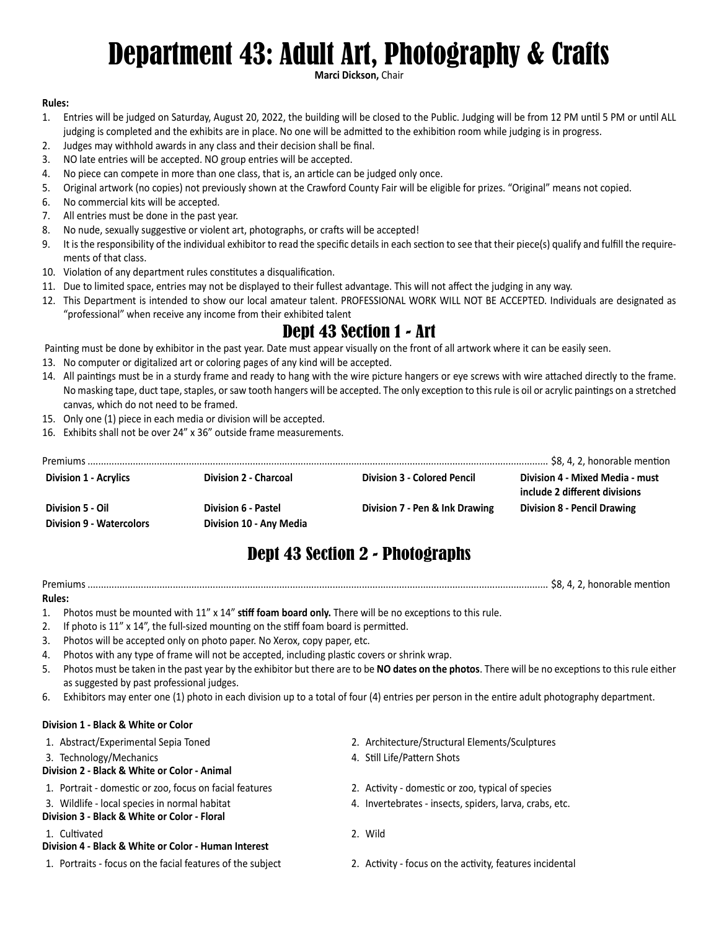# Department 43: Adult Art, Photography & Crafts

**Marci Dickson,** Chair

### **Rules:**

- 1. Entries will be judged on Saturday, August 20, 2022, the building will be closed to the Public. Judging will be from 12 PM until 5 PM or until ALL judging is completed and the exhibits are in place. No one will be admitted to the exhibition room while judging is in progress.
- 2. Judges may withhold awards in any class and their decision shall be final.
- 3. NO late entries will be accepted. NO group entries will be accepted.
- 4. No piece can compete in more than one class, that is, an article can be judged only once.
- 5. Original artwork (no copies) not previously shown at the Crawford County Fair will be eligible for prizes. "Original" means not copied.
- 6. No commercial kits will be accepted.
- 7. All entries must be done in the past year.
- 8. No nude, sexually suggestive or violent art, photographs, or crafts will be accepted!
- 9. It is the responsibility of the individual exhibitor to read the specific details in each section to see that their piece(s) qualify and fulfill the requirements of that class.
- 10. Violation of any department rules constitutes a disqualification.
- 11. Due to limited space, entries may not be displayed to their fullest advantage. This will not affect the judging in any way.
- 12. This Department is intended to show our local amateur talent. PROFESSIONAL WORK WILL NOT BE ACCEPTED. Individuals are designated as "professional" when receive any income from their exhibited talent

# Dept 43 Section 1 - Art

Painting must be done by exhibitor in the past year. Date must appear visually on the front of all artwork where it can be easily seen.

- 13. No computer or digitalized art or coloring pages of any kind will be accepted.
- 14. All paintings must be in a sturdy frame and ready to hang with the wire picture hangers or eye screws with wire attached directly to the frame. No masking tape, duct tape, staples, or saw tooth hangers will be accepted. The only exception to this rule is oil or acrylic paintings on a stretched canvas, which do not need to be framed.
- 15. Only one (1) piece in each media or division will be accepted.
- 16. Exhibits shall not be over 24" x 36" outside frame measurements.

| <b>Division 1 - Acrylics</b>                 | <b>Division 2 - Charcoal</b>                          | <b>Division 3 - Colored Pencil</b> | Division 4 - Mixed Media - must<br>include 2 different divisions |
|----------------------------------------------|-------------------------------------------------------|------------------------------------|------------------------------------------------------------------|
| Division 5 - Oil<br>Division 9 - Watercolors | <b>Division 6 - Pastel</b><br>Division 10 - Any Media | Division 7 - Pen & Ink Drawing     | Division 8 - Pencil Drawing                                      |

# Dept 43 Section 2 - Photographs

Premiums ............................................................................................................................................................................. \$8, 4, 2, honorable mention

### **Rules:**

- 1. Photos must be mounted with 11" x 14" **stiff foam board only.** There will be no exceptions to this rule.
- 2. If photo is 11" x 14", the full-sized mounting on the stiff foam board is permitted.
- 3. Photos will be accepted only on photo paper. No Xerox, copy paper, etc.
- 4. Photos with any type of frame will not be accepted, including plastic covers or shrink wrap.
- 5. Photos must be taken in the past year by the exhibitor but there are to be **NO dates on the photos**. There will be no exceptions to this rule either as suggested by past professional judges.
- 6. Exhibitors may enter one (1) photo in each division up to a total of four (4) entries per person in the entire adult photography department.

### **Division 1 - Black & White or Color**

3. Technology/Mechanics 4. Still Life/Pattern Shots

- **Division 2 Black & White or Color Animal**
- 1. Portrait domestic or zoo, focus on facial features 2. Activity domestic or zoo, typical of species
- 
- **Division 3 Black & White or Color Floral**

### 1. Cultivated 2. Wild

- **Division 4 Black & White or Color Human Interest**
- 1. Portraits focus on the facial features of the subject 2. Activity focus on the activity, features incidental
- 1. Abstract/Experimental Sepia Toned 2. Architecture/Structural Elements/Sculptures
	-
	-
- 3. Wildlife local species in normal habitat 4. Invertebrates insects, spiders, larva, crabs, etc.
	-
	-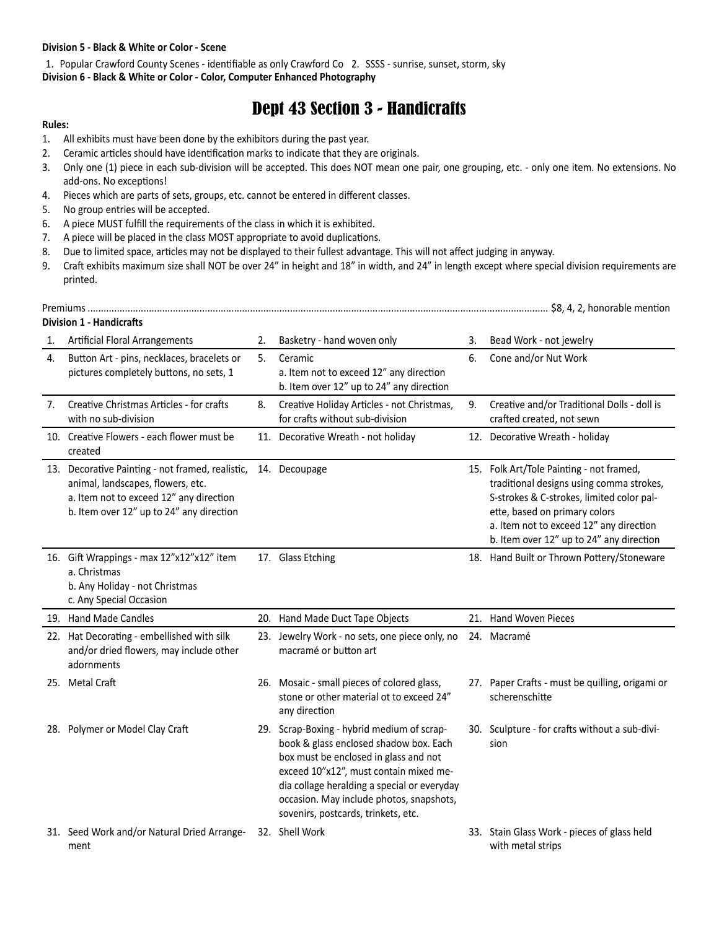#### **Division 5 - Black & White or Color - Scene**

1. Popular Crawford County Scenes - identifiable as only Crawford Co 2. SSSS - sunrise, sunset, storm, sky **Division 6 - Black & White or Color - Color, Computer Enhanced Photography**

## Dept 43 Section 3 - Handicrafts

#### **Rules:**

- 1. All exhibits must have been done by the exhibitors during the past year.
- 2. Ceramic articles should have identification marks to indicate that they are originals.
- 3. Only one (1) piece in each sub-division will be accepted. This does NOT mean one pair, one grouping, etc. only one item. No extensions. No add-ons. No exceptions!
- 4. Pieces which are parts of sets, groups, etc. cannot be entered in different classes.
- 5. No group entries will be accepted.
- 6. A piece MUST fulfill the requirements of the class in which it is exhibited.
- 7. A piece will be placed in the class MOST appropriate to avoid duplications.
- 8. Due to limited space, articles may not be displayed to their fullest advantage. This will not affect judging in anyway.
- 9. Craft exhibits maximum size shall NOT be over 24" in height and 18" in width, and 24" in length except where special division requirements are printed.

|                                                                                             | Premiums<br><b>Division 1 - Handicrafts</b>                                                                                                                                  |    |                                                                                                                                                                                                                                                                                                           |    |                                                                                                                                                                                                                                                           |  |
|---------------------------------------------------------------------------------------------|------------------------------------------------------------------------------------------------------------------------------------------------------------------------------|----|-----------------------------------------------------------------------------------------------------------------------------------------------------------------------------------------------------------------------------------------------------------------------------------------------------------|----|-----------------------------------------------------------------------------------------------------------------------------------------------------------------------------------------------------------------------------------------------------------|--|
| 1.                                                                                          | <b>Artificial Floral Arrangements</b>                                                                                                                                        | 2. | Basketry - hand woven only                                                                                                                                                                                                                                                                                | 3. | Bead Work - not jewelry                                                                                                                                                                                                                                   |  |
| Button Art - pins, necklaces, bracelets or<br>4.<br>pictures completely buttons, no sets, 1 |                                                                                                                                                                              | 5. | Ceramic<br>a. Item not to exceed 12" any direction<br>b. Item over 12" up to 24" any direction                                                                                                                                                                                                            |    | Cone and/or Nut Work                                                                                                                                                                                                                                      |  |
| 7.                                                                                          | Creative Christmas Articles - for crafts<br>with no sub-division                                                                                                             | 8. | Creative Holiday Articles - not Christmas,<br>for crafts without sub-division                                                                                                                                                                                                                             | 9. | Creative and/or Traditional Dolls - doll is<br>crafted created, not sewn                                                                                                                                                                                  |  |
|                                                                                             | 10. Creative Flowers - each flower must be<br>created                                                                                                                        |    | 11. Decorative Wreath - not holiday                                                                                                                                                                                                                                                                       |    | 12. Decorative Wreath - holiday                                                                                                                                                                                                                           |  |
|                                                                                             | 13. Decorative Painting - not framed, realistic,<br>animal, landscapes, flowers, etc.<br>a. Item not to exceed 12" any direction<br>b. Item over 12" up to 24" any direction |    | 14. Decoupage                                                                                                                                                                                                                                                                                             |    | 15. Folk Art/Tole Painting - not framed,<br>traditional designs using comma strokes,<br>S-strokes & C-strokes, limited color pal-<br>ette, based on primary colors<br>a. Item not to exceed 12" any direction<br>b. Item over 12" up to 24" any direction |  |
|                                                                                             | 16. Gift Wrappings - max 12"x12"x12" item<br>a. Christmas<br>b. Any Holiday - not Christmas<br>c. Any Special Occasion                                                       |    | 17. Glass Etching                                                                                                                                                                                                                                                                                         |    | 18. Hand Built or Thrown Pottery/Stoneware                                                                                                                                                                                                                |  |
|                                                                                             | 19. Hand Made Candles                                                                                                                                                        |    | 20. Hand Made Duct Tape Objects                                                                                                                                                                                                                                                                           |    | 21. Hand Woven Pieces                                                                                                                                                                                                                                     |  |
|                                                                                             | 22. Hat Decorating - embellished with silk<br>and/or dried flowers, may include other<br>adornments                                                                          |    | 23. Jewelry Work - no sets, one piece only, no<br>macramé or button art                                                                                                                                                                                                                                   |    | 24. Macramé                                                                                                                                                                                                                                               |  |
|                                                                                             | 25. Metal Craft                                                                                                                                                              |    | 26. Mosaic - small pieces of colored glass,<br>stone or other material ot to exceed 24"<br>any direction                                                                                                                                                                                                  |    | 27. Paper Crafts - must be quilling, origami or<br>scherenschitte                                                                                                                                                                                         |  |
|                                                                                             | 28. Polymer or Model Clay Craft                                                                                                                                              |    | 29. Scrap-Boxing - hybrid medium of scrap-<br>book & glass enclosed shadow box. Each<br>box must be enclosed in glass and not<br>exceed 10"x12", must contain mixed me-<br>dia collage heralding a special or everyday<br>occasion. May include photos, snapshots,<br>sovenirs, postcards, trinkets, etc. |    | 30. Sculpture - for crafts without a sub-divi-<br>sion                                                                                                                                                                                                    |  |
|                                                                                             | 31. Seed Work and/or Natural Dried Arrange-<br>ment                                                                                                                          |    | 32. Shell Work                                                                                                                                                                                                                                                                                            |    | 33. Stain Glass Work - pieces of glass held<br>with metal strips                                                                                                                                                                                          |  |